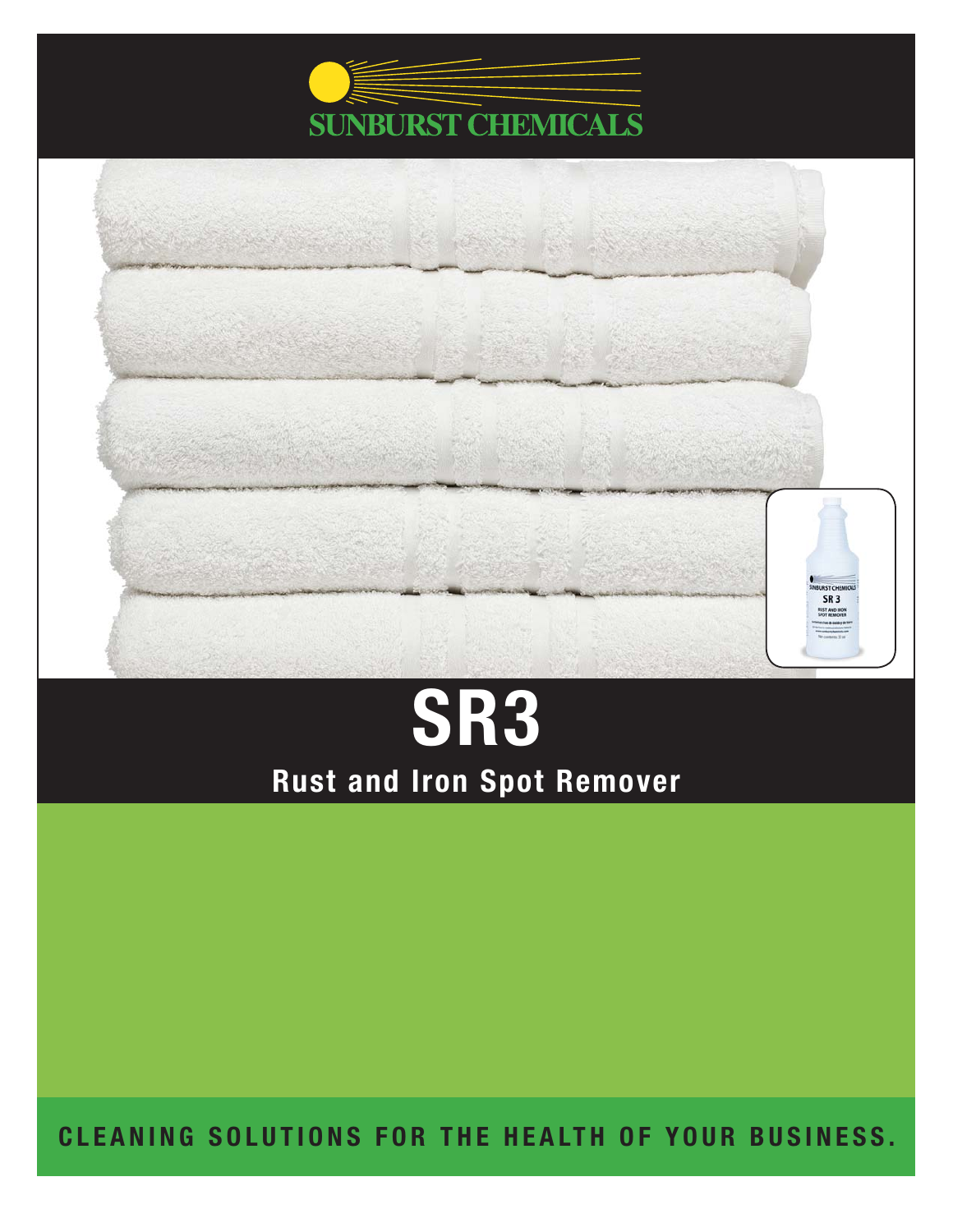



# **SR3 Rust and Iron Spot Remover**

**CLEANING SOLUTIONS FOR THE HEALTH OF YOUR BUSINESS.**